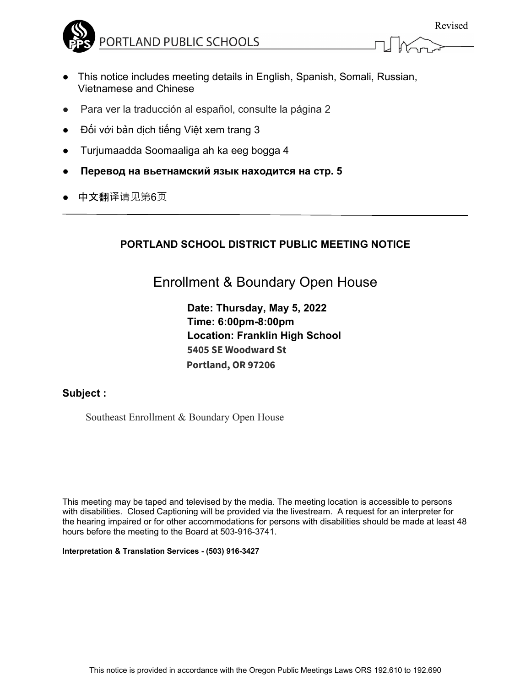

- 
- This notice includes meeting details in English, Spanish, Somali, Russian, Vietnamese and Chinese
- Para ver la traducción al español, consulte la página 2
- Đối với bản dịch tiếng Việt xem trang 3
- Turjumaadda Soomaaliga ah ka eeg bogga 4
- **Перевод на вьетнамский язык находится на стр. 5**
- 中文翻译请见第6页

## **PORTLAND SCHOOL DISTRICT PUBLIC MEETING NOTICE**

## Enrollment & Boundary Open House

**Date: Thursday, May 5, 2022 Time: 6:00pm-8:00pm Location: Franklin High School 5405 SE Woodward St Portland, OR 97206**

#### **Subject :**

Southeast Enrollment & Boundary Open House

This meeting may be taped and televised by the media. The meeting location is accessible to persons with disabilities. Closed Captioning will be provided via the livestream. A request for an interpreter for the hearing impaired or for other accommodations for persons with disabilities should be made at least 48 hours before the meeting to the Board at 503-916-3741.

**Interpretation & Translation Services - (503) 916-3427**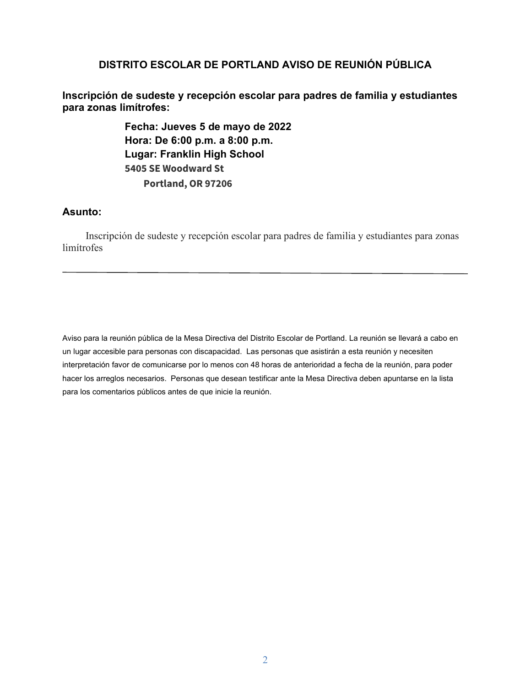### **DISTRITO ESCOLAR DE PORTLAND AVISO DE REUNIÓN PÚBLICA**

**Inscripción de sudeste y recepción escolar para padres de familia y estudiantes para zonas limítrofes:** 

> **Fecha: Jueves 5 de mayo de 2022 Hora: De 6:00 p.m. a 8:00 p.m. Lugar: Franklin High School 5405 SE Woodward St Portland, OR 97206**

#### **Asunto:**

Inscripción de sudeste y recepción escolar para padres de familia y estudiantes para zonas limítrofes

Aviso para la reunión pública de la Mesa Directiva del Distrito Escolar de Portland. La reunión se llevará a cabo en un lugar accesible para personas con discapacidad. Las personas que asistirán a esta reunión y necesiten interpretación favor de comunicarse por lo menos con 48 horas de anterioridad a fecha de la reunión, para poder hacer los arreglos necesarios. Personas que desean testificar ante la Mesa Directiva deben apuntarse en la lista para los comentarios públicos antes de que inicie la reunión.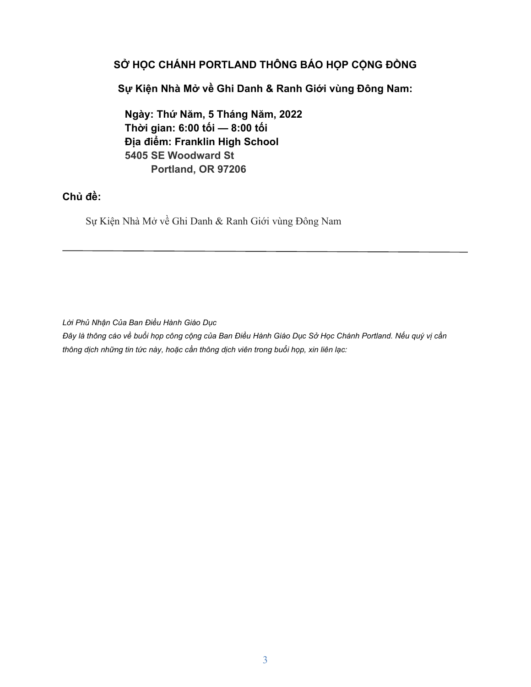## **SỞ HỌC CHÁNH PORTLAND THÔNG BÁO HỌP CỘNG ĐỒNG**

**Sự Kiện Nhà Mở về Ghi Danh & Ranh Giới vùng Đông Nam:** 

**Ngày: Thứ Năm, 5 Tháng Năm, 2022 Thời gian: 6:00 tối — 8:00 tối Địa điểm: Franklin High School 5405 SE Woodward St Portland, OR 97206**

### **Chủ đề:**

Sự Kiện Nhà Mở về Ghi Danh & Ranh Giới vùng Đông Nam

*Lời Phủ Nhận Của Ban Ðiều Hành Giáo Dục* 

*Ðây là thông cáo về buổi họp công cộng của Ban Ðiều Hành Giáo Dục Sở Học Chánh Portland. Nếu quý vị cần thông dịch những tin tức này, hoặc cần thông dịch viên trong buổi họp, xin liên lạc:*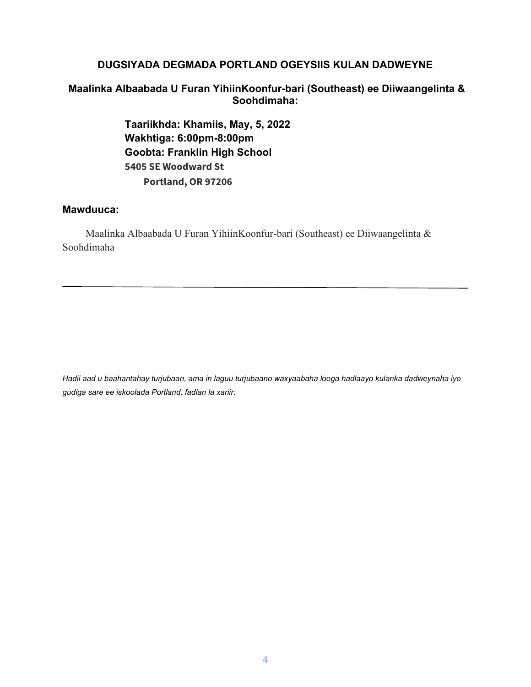#### **DUGSIYADA DEGMADA PORTLAND OGEYSIIS KULAN DADWEYNE**

#### **Maalinka Albaabada U Furan YihiinKoonfur-bari (Southeast) ee Diiwaangelinta & Soohdimaha:**

**Taariikhda: Khamiis, May, 5, 2022 Wakhtiga: 6:00pm-8:00pm Goobta: Franklin High School 5405 SE Woodward St Portland, OR 97206**

#### **Mawduuca:**

Maalinka Albaabada U Furan YihiinKoonfur-bari (Southeast) ee Diiwaangelinta & Soohdimaha

*Hadii aad u baahantahay turjubaan, ama in laguu turjubaano waxyaabaha looga hadlaayo kulanka dadweynaha iyo gudiga sare ee iskoolada Portland, fadlan la xariir:*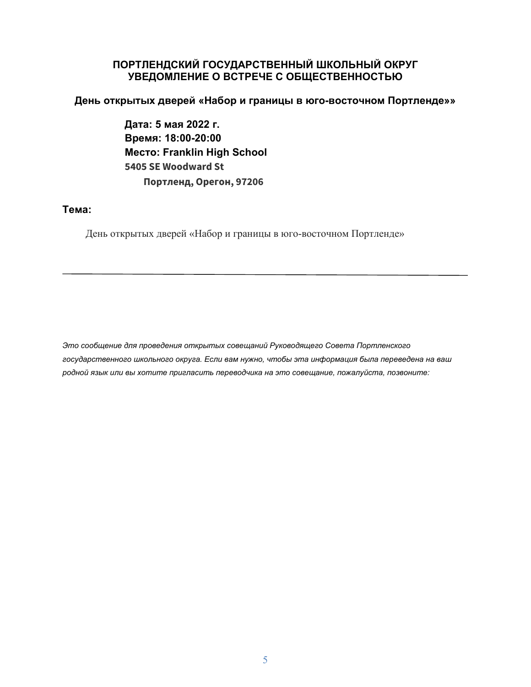### **ПОРТЛЕНДCКИЙ ГОСУДАРСТВЕННЫЙ ШКОЛЬНЫЙ ОКРУГ УВЕДОМЛЕНИЕ О ВСТРЕЧЕ С ОБЩЕСТВЕННОСТЬЮ**

**День открытых дверей «Набор и границы в юго-восточном Портленде»»** 

**Дата: 5 мая 2022 г. Время: 18:00-20:00 Место: Franklin High School 5405 SE Woodward St Портленд, Орегон, 97206**

#### **Тема:**

День открытых дверей «Набор и границы в юго-восточном Портленде»

*Это сообщение для проведения открытых совещаний Руководящего Совета Портленского государственного школьного округа. Если вам нужно, чтобы эта информация была переведена на ваш родной язык или вы хотите пригласить переводчика на это совещание, пожалуйста, позвоните:*